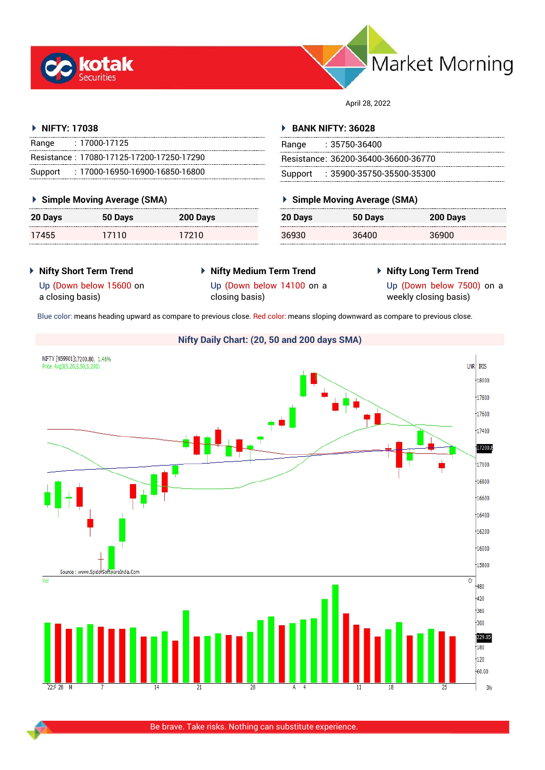



April 28, 2022

## **NIFTY: 17038**

| Range | : 17000-17125                             |
|-------|-------------------------------------------|
|       | Resistance: 17080-17125-17200-17250-17290 |
|       | Support: : 17000-16950-16900-16850-16800  |

## **Simple Moving Average (SMA)**

| 20 Days | 50 Days | 200 Days |
|---------|---------|----------|
| 17455   | 17110   | 17210    |

#### **BANK NIFTY: 36028**

| Range | : 35750-36400                       |
|-------|-------------------------------------|
|       | Resistance: 36200-36400-36600-36770 |
|       | Support: : 35900-35750-35500-35300  |

## **Simple Moving Average (SMA)**

| 20 Days | 50 Days | 200 Days |
|---------|---------|----------|
| 36930   | 36400   | 36900    |

- **Nifty Short Term Trend**
- **Nifty Medium Term Trend**
- **Nifty Long Term Trend**
- Up (Down below 15600 on a closing basis)
- Up (Down below 14100 on a closing basis)
- 
- 
- 
- Up (Down below 7500) on a weekly closing basis)

Blue color: means heading upward as compare to previous close. Red color: means sloping downward as compare to previous close.



Be brave. Take risks. Nothing can substitute experience.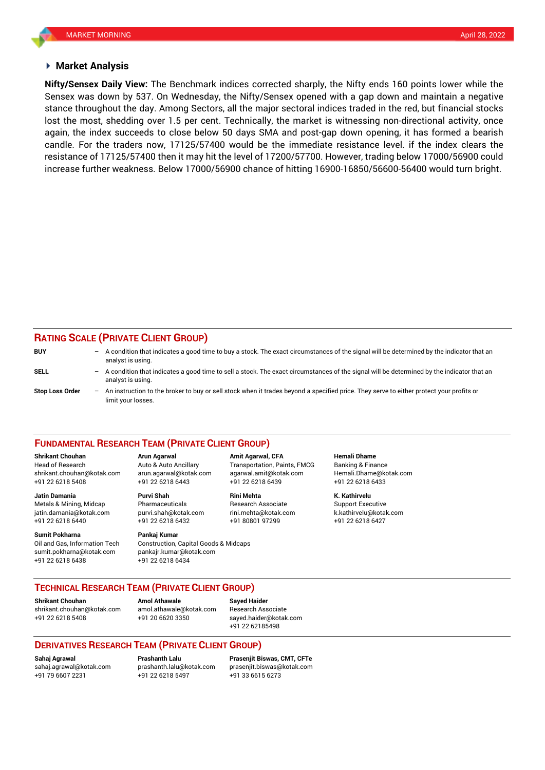#### **Market Analysis**

Sensex was down by 537. On Wednesday, the Nifty/Sensex opened with a gap down and maintain a negative **Nifty/Sensex Daily View:** The Benchmark indices corrected sharply, the Nifty ends 160 points lower while the stance throughout the day. Among Sectors, all the major sectoral indices traded in the red, but financial stocks lost the most, shedding over 1.5 per cent. Technically, the market is witnessing non-directional activity, once again, the index succeeds to close below 50 days SMA and post-gap down opening, it has formed a bearish candle. For the traders now, 17125/57400 would be the immediate resistance level. if the index clears the resistance of 17125/57400 then it may hit the level of 17200/57700. However, trading below 17000/56900 could increase further weakness. Below 17000/56900 chance of hitting 16900-16850/56600-56400 would turn bright.

# **RATING SCALE (PRIVATE CLIENT GROUP)**

| <b>BUY</b>             |     | - A condition that indicates a good time to buy a stock. The exact circumstances of the signal will be determined by the indicator that an<br>analyst is using. |
|------------------------|-----|-----------------------------------------------------------------------------------------------------------------------------------------------------------------|
| SELL                   | $-$ | A condition that indicates a good time to sell a stock. The exact circumstances of the signal will be determined by the indicator that an<br>analyst is using.  |
| <b>Stop Loss Order</b> | $-$ | An instruction to the broker to buy or sell stock when it trades beyond a specified price. They serve to either protect your profits or<br>limit your losses.   |

#### **FUNDAMENTAL RESEARCH TEAM (PRIVATE CLIENT GROUP)**

Head of Research Auto & Auto Ancillary Transportation, Paints, FMCG Banking & Finance [shrikant.chouhan@kotak.com](mailto:shrikant.chouhan@kotak.com) arun.agarwal@kotak.com agarwal.amit@kotak.com Hemali.Dhame@kotak.com

**Jatin Damania Purvi Shah Rini Mehta K. Kathirvelu** Metals & Mining, Midcap Pharmaceuticals Research Associate Support Executive Research Associate jatin.damania@kotak.com [purvi.shah@kotak.com](mailto:purvi.shah@kotak.com) rini.mehta@kotak.com [k.kathirvelu@kotak.com](mailto:k.kathirvelu@kotak.com) +91 22 6218 6440 +91 22 6218 6432 +91 80801 97299 +91 22 6218 6427

**Sumit Pokharna** Pankaj Kumar Oil and Gas, Information Tech Construction, Capital Goods & Midcaps sumit.pokharna@kotak.com pankajr.kumar@kotak.com

+91 22 6218 5408 +91 22 6218 6443 +91 22 6218 6439 +91 22 6218 6433

+91 22 6218 6438 +91 22 6218 6434

**Shrikant Chouhan Arun Agarwal Amit Agarwal, CFA Hemali Dhame**

**TECHNICAL RESEARCH TEAM (PRIVATE CLIENT GROUP)**

**Shrikant Chouhan Amol Athawale Sayed Haider**

[shrikant.chouhan@kotak.com](mailto:shrikant.chouhan@kotak.com) [amol.athawale@kotak.com](mailto:amol.athawale@kotak.com) Research Associate +91 22 6218 5408 +91 20 6620 3350 [sayed.haider@kotak.com](mailto:sayed.haider@kotak.com)

+91 22 62185498

## **DERIVATIVES RESEARCH TEAM (PRIVATE CLIENT GROUP)**

+91 22 6218 5497 +91 33 6615 6273

**Sahaj Agrawal Prashanth Lalu Prasenjit Biswas, CMT, CFTe** [sahaj.agrawal@kotak.com](mailto:sahaj.agrawal@kotak.com) [prashanth.lalu@kotak.com](mailto:prashanth.lalu@kotak.com) [prasenjit.biswas@kotak.com](mailto:prasenjit.biswas@kotak.com)